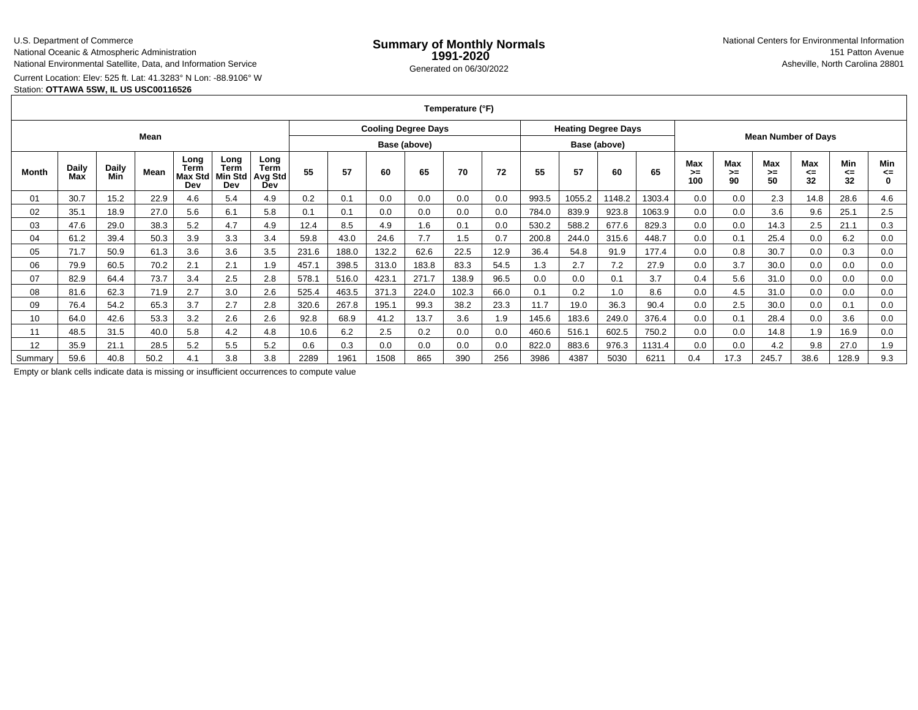#### U.S. Department of Commerce

National Oceanic & Atmospheric Administration

National Environmental Satellite, Data, and Information Service

Current Location: Elev: 525 ft. Lat: 41.3283° N Lon: -88.9106° W

### Station: **OTTAWA 5SW, IL US USC00116526**

**Temperature (°F)**

|         |                     |                     | Mean |                                |                                 |                                       |       |       |       | <b>Cooling Degree Days</b> |       |      |       | <b>Heating Degree Days</b> |              |        |                  |                   | <b>Mean Number of Days</b> |                        |                 |           |
|---------|---------------------|---------------------|------|--------------------------------|---------------------------------|---------------------------------------|-------|-------|-------|----------------------------|-------|------|-------|----------------------------|--------------|--------|------------------|-------------------|----------------------------|------------------------|-----------------|-----------|
|         |                     |                     |      |                                |                                 |                                       |       |       |       | Base (above)               |       |      |       |                            | Base (above) |        |                  |                   |                            |                        |                 |           |
| Month   | <b>Daily</b><br>Max | <b>Daily</b><br>Min | Mean | Long<br>Term<br>Max Std<br>Dev | Long<br>Term<br>Viin Std<br>Dev | Long<br><b>Term</b><br>Avg Std<br>Dev | 55    | 57    | 60    | 65                         | 70    | 72   | 55    | 57                         | 60           | 65     | Max<br>>≕<br>100 | Max<br>$>=$<br>90 | <b>Max</b><br>>≕<br>50     | <b>Max</b><br><=<br>32 | Min<br><=<br>32 | Min<br><= |
| 01      | 30.7                | 15.2                | 22.9 | 4.6                            | 5.4                             | 4.9                                   | 0.2   | 0.1   | 0.0   | 0.0                        | 0.0   | 0.0  | 993.5 | 1055.2                     | 1148.2       | 1303.4 | 0.0              | 0.0               | 2.3                        | 14.8                   | 28.6            | 4.6       |
| 02      | 35.1                | 18.9                | 27.0 | 5.6                            | 6.1                             | 5.8                                   | 0.1   | 0.1   | 0.0   | 0.0                        | 0.0   | 0.0  | 784.0 | 839.9                      | 923.8        | 1063.9 | 0.0              | 0.0               | 3.6                        | 9.6                    | 25.1            | 2.5       |
| 03      | 47.6                | 29.0                | 38.3 | 5.2                            | 4.7                             | 4.9                                   | 12.4  | 8.5   | 4.9   | 1.6                        | 0.1   | 0.0  | 530.2 | 588.2                      | 677.6        | 829.3  | 0.0              | 0.0               | 14.3                       | 2.5                    | 21.1            | 0.3       |
| 04      | 61.2                | 39.4                | 50.3 | 3.9                            | 3.3                             | 3.4                                   | 59.8  | 43.0  | 24.6  | 7.7                        | 1.5   | 0.7  | 200.8 | 244.0                      | 315.6        | 448.7  | 0.0              | 0.1               | 25.4                       | 0.0                    | 6.2             | 0.0       |
| 05      | 71.7                | 50.9                | 61.3 | 3.6                            | 3.6                             | 3.5                                   | 231.6 | 188.0 | 132.2 | 62.6                       | 22.5  | 12.9 | 36.4  | 54.8                       | 91.9         | 177.4  | 0.0              | 0.8               | 30.7                       | 0.0                    | 0.3             | 0.0       |
| 06      | 79.9                | 60.5                | 70.2 | 2.1                            | 2.1                             | 1.9                                   | 457.1 | 398.5 | 313.0 | 183.8                      | 83.3  | 54.5 | 1.3   | 2.7                        | 7.2          | 27.9   | 0.0              | 3.7               | 30.0                       | 0.0                    | 0.0             | 0.0       |
| 07      | 82.9                | 64.4                | 73.7 | 3.4                            | 2.5                             | 2.8                                   | 578.1 | 516.0 | 423.1 | 271.7                      | 138.9 | 96.5 | 0.0   | 0.0                        | 0.1          | 3.7    | 0.4              | 5.6               | 31.0                       | 0.0                    | 0.0             | 0.0       |
| 08      | 81.6                | 62.3                | 71.9 | 2.7                            | 3.0                             | 2.6                                   | 525.4 | 463.5 | 371.3 | 224.0                      | 102.3 | 66.0 | 0.1   | 0.2                        | 1.0          | 8.6    | 0.0              | 4.5               | 31.0                       | 0.0                    | 0.0             | 0.0       |
| 09      | 76.4                | 54.2                | 65.3 | 3.7                            | 2.7                             | 2.8                                   | 320.6 | 267.8 | 195.1 | 99.3                       | 38.2  | 23.3 | 11.7  | 19.0                       | 36.3         | 90.4   | 0.0              | 2.5               | 30.0                       | 0.0                    | 0.1             | 0.0       |
| 10      | 64.0                | 42.6                | 53.3 | 3.2                            | 2.6                             | 2.6                                   | 92.8  | 68.9  | 41.2  | 13.7                       | 3.6   | 1.9  | 145.6 | 183.6                      | 249.0        | 376.4  | 0.0              | 0.1               | 28.4                       | 0.0                    | 3.6             | 0.0       |
| 11      | 48.5                | 31.5                | 40.0 | 5.8                            | 4.2                             | 4.8                                   | 10.6  | 6.2   | 2.5   | 0.2                        | 0.0   | 0.0  | 460.6 | 516.1                      | 602.5        | 750.2  | 0.0              | 0.0               | 14.8                       | 1.9                    | 16.9            | 0.0       |
| 12      | 35.9                | 21.1                | 28.5 | 5.2                            | 5.5                             | 5.2                                   | 0.6   | 0.3   | 0.0   | 0.0                        | 0.0   | 0.0  | 822.0 | 883.6                      | 976.3        | 1131.4 | 0.0              | 0.0               | 4.2                        | 9.8                    | 27.0            | 1.9       |
| Summary | 59.6                | 40.8                | 50.2 | 4.1                            | 3.8                             | 3.8                                   | 2289  | 1961  | 1508  | 865                        | 390   | 256  | 3986  | 4387                       | 5030         | 6211   | 0.4              | 17.3              | 245.7                      | 38.6                   | 128.9           | 9.3       |

Empty or blank cells indicate data is missing or insufficient occurrences to compute value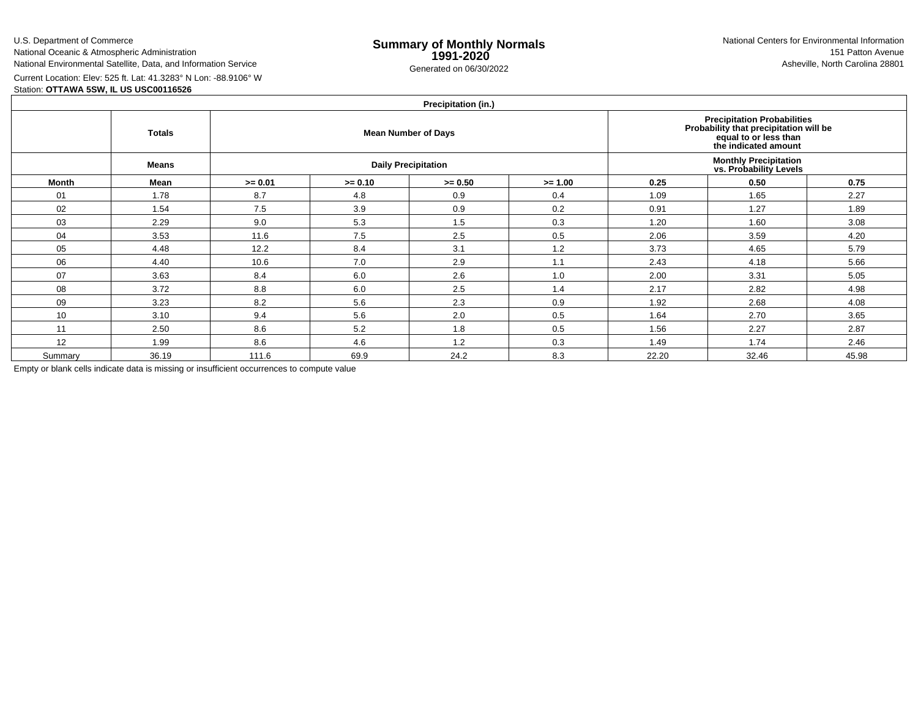U.S. Department of Commerce

National Oceanic & Atmospheric AdministrationNational Environmental Satellite, Data, and Information Service

e **Summary of Monthly Normals**<br> **1991-2020** 151 Patton Avenue **1991-2020** 1997-2020 e Generated on 06/30/2022 Asheville, North Carolina 28801 National Centers for Environmental Information151 Patton Avenue

Current Location: Elev: 525 ft. Lat: 41.3283° N Lon: -88.9106° W

# Station: **OTTAWA 5SW, IL US USC00116526**

# **Precipitation (in.)**

|         | <b>Totals</b> |           |           | $\cdots$<br><b>Mean Number of Days</b> | Precipitation Probabilities<br>Probability that precipitation will be<br>equal to or less than<br>the indicated amount |       |                                                         |       |  |
|---------|---------------|-----------|-----------|----------------------------------------|------------------------------------------------------------------------------------------------------------------------|-------|---------------------------------------------------------|-------|--|
|         | <b>Means</b>  |           |           | <b>Daily Precipitation</b>             |                                                                                                                        |       | <b>Monthly Precipitation<br/>vs. Probability Levels</b> |       |  |
| Month   | Mean          | $>= 0.01$ | $>= 0.10$ | $>= 0.50$                              | 0.25                                                                                                                   | 0.50  | 0.75                                                    |       |  |
| 01      | 1.78          | 8.7       | 4.8       | 0.9                                    | 0.4                                                                                                                    | 1.09  | 1.65                                                    | 2.27  |  |
| 02      | 1.54          | 7.5       | 3.9       | 0.9                                    | 0.2                                                                                                                    | 0.91  | 1.27                                                    | 1.89  |  |
| 03      | 2.29          | 9.0       | 5.3       | 1.5                                    | 0.3                                                                                                                    | 1.20  | 1.60                                                    | 3.08  |  |
| 04      | 3.53          | 11.6      | 7.5       | 2.5                                    | 0.5                                                                                                                    | 2.06  | 3.59                                                    | 4.20  |  |
| 05      | 4.48          | 12.2      | 8.4       | 3.1                                    | 1.2                                                                                                                    | 3.73  | 4.65                                                    | 5.79  |  |
| 06      | 4.40          | 10.6      | 7.0       | 2.9                                    | 1.1                                                                                                                    | 2.43  | 4.18                                                    | 5.66  |  |
| 07      | 3.63          | 8.4       | 6.0       | 2.6                                    | 1.0                                                                                                                    | 2.00  | 3.31                                                    | 5.05  |  |
| 08      | 3.72          | 8.8       | 6.0       | 2.5                                    | 1.4                                                                                                                    | 2.17  | 2.82                                                    | 4.98  |  |
| 09      | 3.23          | 8.2       | 5.6       | 2.3                                    | 0.9                                                                                                                    | 1.92  | 2.68                                                    | 4.08  |  |
| 10      | 3.10          | 9.4       | 5.6       | 2.0                                    | 0.5                                                                                                                    | 1.64  | 2.70                                                    | 3.65  |  |
| 11      | 2.50          | 8.6       | 5.2       | 1.8                                    | 0.5                                                                                                                    | 1.56  | 2.27                                                    | 2.87  |  |
| 12      | 1.99          | 8.6       | 4.6       | 1.2                                    | 0.3                                                                                                                    | 1.49  | 1.74                                                    | 2.46  |  |
| Summary | 36.19         | 111.6     | 69.9      | 24.2                                   | 8.3                                                                                                                    | 22.20 | 32.46                                                   | 45.98 |  |

Empty or blank cells indicate data is missing or insufficient occurrences to compute value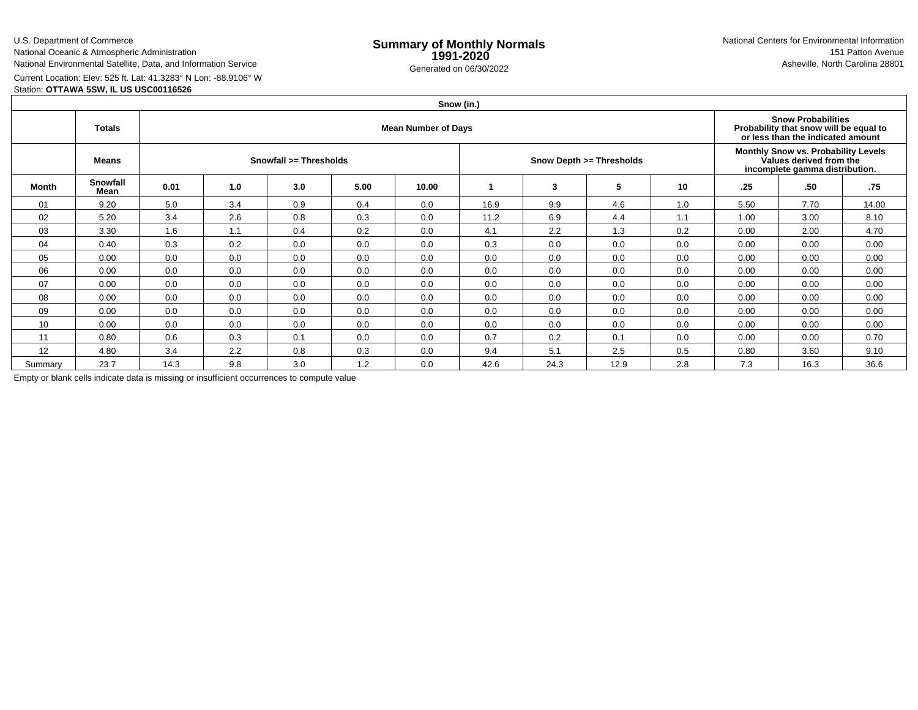U.S. Department of Commerce

National Oceanic & Atmospheric AdministrationNational Environmental Satellite, Data, and Information Service

e **Summary of Monthly Normals**<br> **1991-2020** 151 Patton Avenue **1991-2020** 1997-2020 e Generated on 06/30/2022 Asheville, North Carolina 28801 National Centers for Environmental Information151 Patton Avenue

Current Location: Elev: 525 ft. Lat: 41.3283° N Lon: -88.9106° W

Station: **OTTAWA 5SW, IL US USC00116526**

| Snow (in.) |  |
|------------|--|
|            |  |

|                 | <b>Totals</b>    |                        |     | <b>Snow Probabilities</b><br>Probability that snow will be equal to<br>or less than the indicated amount |      |       |      |      |                          |                                                                                                  |      |      |       |
|-----------------|------------------|------------------------|-----|----------------------------------------------------------------------------------------------------------|------|-------|------|------|--------------------------|--------------------------------------------------------------------------------------------------|------|------|-------|
|                 | Means            | Snowfall >= Thresholds |     |                                                                                                          |      |       |      |      | Snow Depth >= Thresholds | Monthly Snow vs. Probability Levels<br>Values derived from the<br>incomplete gamma distribution. |      |      |       |
| Month           | Snowfall<br>Mean | 0.01                   | 1.0 | 3.0                                                                                                      | 5.00 | 10.00 |      | 3    | 5                        | 10                                                                                               | .25  | .50  | .75   |
| 01              | 9.20             | 5.0                    | 3.4 | 0.9                                                                                                      | 0.4  | 0.0   | 16.9 | 9.9  | 4.6                      | 1.0                                                                                              | 5.50 | 7.70 | 14.00 |
| 02              | 5.20             | 3.4                    | 2.6 | 0.8                                                                                                      | 0.3  | 0.0   | 11.2 | 6.9  | 4.4                      | 1.1                                                                                              | 1.00 | 3.00 | 8.10  |
| 03              | 3.30             | 1.6                    | 1.1 | 0.4                                                                                                      | 0.2  | 0.0   | 4.1  | 2.2  | 1.3                      | 0.2                                                                                              | 0.00 | 2.00 | 4.70  |
| 04              | 0.40             | 0.3                    | 0.2 | 0.0                                                                                                      | 0.0  | 0.0   | 0.3  | 0.0  | 0.0                      | 0.0                                                                                              | 0.00 | 0.00 | 0.00  |
| 05              | 0.00             | 0.0                    | 0.0 | 0.0                                                                                                      | 0.0  | 0.0   | 0.0  | 0.0  | 0.0                      | 0.0                                                                                              | 0.00 | 0.00 | 0.00  |
| 06              | 0.00             | 0.0                    | 0.0 | 0.0                                                                                                      | 0.0  | 0.0   | 0.0  | 0.0  | 0.0                      | 0.0                                                                                              | 0.00 | 0.00 | 0.00  |
| 07              | 0.00             | 0.0                    | 0.0 | 0.0                                                                                                      | 0.0  | 0.0   | 0.0  | 0.0  | 0.0                      | 0.0                                                                                              | 0.00 | 0.00 | 0.00  |
| 08              | 0.00             | 0.0                    | 0.0 | 0.0                                                                                                      | 0.0  | 0.0   | 0.0  | 0.0  | 0.0                      | 0.0                                                                                              | 0.00 | 0.00 | 0.00  |
| 09              | 0.00             | 0.0                    | 0.0 | 0.0                                                                                                      | 0.0  | 0.0   | 0.0  | 0.0  | 0.0                      | 0.0                                                                                              | 0.00 | 0.00 | 0.00  |
| 10 <sup>°</sup> | 0.00             | 0.0                    | 0.0 | 0.0                                                                                                      | 0.0  | 0.0   | 0.0  | 0.0  | 0.0                      | 0.0                                                                                              | 0.00 | 0.00 | 0.00  |
| 11              | 0.80             | 0.6                    | 0.3 | 0.1                                                                                                      | 0.0  | 0.0   | 0.7  | 0.2  | 0.1                      | 0.0                                                                                              | 0.00 | 0.00 | 0.70  |
| 12              | 4.80             | 3.4                    | 2.2 | 0.8                                                                                                      | 0.3  | 0.0   | 9.4  | 5.1  | 2.5                      | 0.5                                                                                              | 0.80 | 3.60 | 9.10  |
| Summary         | 23.7             | 14.3                   | 9.8 | 3.0                                                                                                      | 1.2  | 0.0   | 42.6 | 24.3 | 12.9                     | 2.8                                                                                              | 7.3  | 16.3 | 36.6  |

Empty or blank cells indicate data is missing or insufficient occurrences to compute value